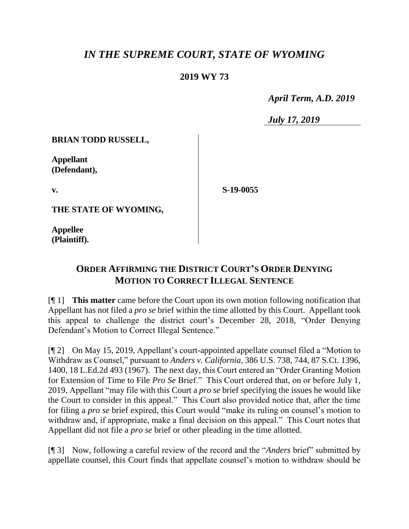## *IN THE SUPREME COURT, STATE OF WYOMING*

## **2019 WY 73**

 *April Term, A.D. 2019*

*July 17, 2019*

**BRIAN TODD RUSSELL,**

**Appellant (Defendant),**

**v.**

**S-19-0055**

**THE STATE OF WYOMING,**

**Appellee (Plaintiff).**

## **ORDER AFFIRMING THE DISTRICT COURT'S ORDER DENYING MOTION TO CORRECT ILLEGAL SENTENCE**

[¶ 1] **This matter** came before the Court upon its own motion following notification that Appellant has not filed a *pro se* brief within the time allotted by this Court. Appellant took this appeal to challenge the district court's December 28, 2018, "Order Denying Defendant's Motion to Correct Illegal Sentence."

[¶ 2] On May 15, 2019, Appellant's court-appointed appellate counsel filed a "Motion to Withdraw as Counsel," pursuant to *Anders v. California*, 386 U.S. 738, 744, 87 S.Ct. 1396, 1400, 18 L.Ed.2d 493 (1967). The next day, this Court entered an "Order Granting Motion for Extension of Time to File *Pro Se* Brief." This Court ordered that, on or before July 1, 2019, Appellant "may file with this Court a *pro se* brief specifying the issues he would like the Court to consider in this appeal." This Court also provided notice that, after the time for filing a *pro se* brief expired, this Court would "make its ruling on counsel's motion to withdraw and, if appropriate, make a final decision on this appeal." This Court notes that Appellant did not file a *pro se* brief or other pleading in the time allotted.

[¶ 3] Now, following a careful review of the record and the "*Anders* brief" submitted by appellate counsel, this Court finds that appellate counsel's motion to withdraw should be